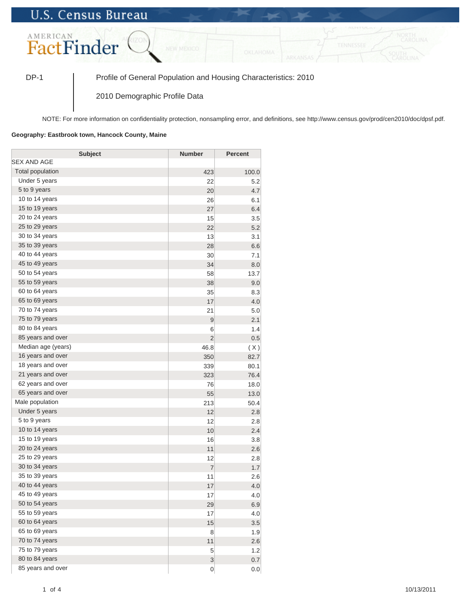## **U.S. Census Bureau**



DP-1 Profile of General Population and Housing Characteristics: 2010

2010 Demographic Profile Data

NOTE: For more information on confidentiality protection, nonsampling error, and definitions, see http://www.census.gov/prod/cen2010/doc/dpsf.pdf.

## **Geography: Eastbrook town, Hancock County, Maine**

| <b>Subject</b>     | <b>Number</b>  | <b>Percent</b> |
|--------------------|----------------|----------------|
| SEX AND AGE        |                |                |
| Total population   | 423            | 100.0          |
| Under 5 years      | 22             | 5.2            |
| 5 to 9 years       | 20             | 4.7            |
| 10 to 14 years     | 26             | 6.1            |
| 15 to 19 years     | 27             | 6.4            |
| 20 to 24 years     | 15             | 3.5            |
| 25 to 29 years     | 22             | 5.2            |
| 30 to 34 years     | 13             | 3.1            |
| 35 to 39 years     | 28             | 6.6            |
| 40 to 44 years     | 30             | 7.1            |
| 45 to 49 years     | 34             | 8.0            |
| 50 to 54 years     | 58             | 13.7           |
| 55 to 59 years     | 38             | 9.0            |
| 60 to 64 years     | 35             | 8.3            |
| 65 to 69 years     | 17             | 4.0            |
| 70 to 74 years     | 21             | 5.0            |
| 75 to 79 years     | 9              | 2.1            |
| 80 to 84 years     | 6              | 1.4            |
| 85 years and over  | $\overline{2}$ | 0.5            |
| Median age (years) | 46.8           | (X)            |
| 16 years and over  | 350            | 82.7           |
| 18 years and over  | 339            | 80.1           |
| 21 years and over  | 323            | 76.4           |
| 62 years and over  | 76             | 18.0           |
| 65 years and over  | 55             | 13.0           |
| Male population    | 213            | 50.4           |
| Under 5 years      | 12             | 2.8            |
| 5 to 9 years       | 12             | 2.8            |
| 10 to 14 years     | 10             | 2.4            |
| 15 to 19 years     | 16             | 3.8            |
| 20 to 24 years     | 11             | 2.6            |
| 25 to 29 years     | 12             | 2.8            |
| 30 to 34 years     | $\overline{7}$ | 1.7            |
| 35 to 39 years     | 11             | 2.6            |
| 40 to 44 years     | 17             | 4.0            |
| 45 to 49 years     | 17             | 4.0            |
| 50 to 54 years     | 29             | 6.9            |
| 55 to 59 years     | 17             | 4.0            |
| 60 to 64 years     | 15             | 3.5            |
| 65 to 69 years     | 8              | 1.9            |
| 70 to 74 years     | 11             | 2.6            |
| 75 to 79 years     | 5              | 1.2            |
| 80 to 84 years     | $\overline{3}$ | 0.7            |
| 85 years and over  | $\overline{0}$ | 0.0            |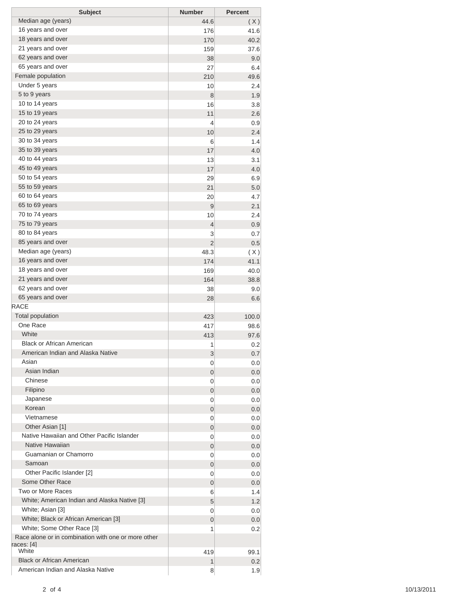| <b>Subject</b>                                                        | <b>Number</b>  | <b>Percent</b> |
|-----------------------------------------------------------------------|----------------|----------------|
| Median age (years)                                                    | 44.6           | (X)            |
| 16 years and over                                                     | 176            | 41.6           |
| 18 years and over                                                     | 170            | 40.2           |
| 21 years and over                                                     | 159            | 37.6           |
| 62 years and over                                                     | 38             | 9.0            |
| 65 years and over                                                     | 27             | 6.4            |
| Female population                                                     | 210            | 49.6           |
| Under 5 years                                                         | 10             | 2.4            |
| 5 to 9 years                                                          | 8              | 1.9            |
| 10 to 14 years                                                        | 16             | 3.8            |
| 15 to 19 years                                                        | 11             | 2.6            |
| 20 to 24 years                                                        | 4              | 0.9            |
| 25 to 29 years                                                        | 10             | 2.4            |
| 30 to 34 years                                                        | 6              | 1.4            |
| 35 to 39 years                                                        | 17             | 4.0            |
| 40 to 44 years                                                        | 13             | 3.1            |
| 45 to 49 years                                                        | 17             | 4.0            |
| 50 to 54 years                                                        | 29             | 6.9            |
| 55 to 59 years                                                        | 21             | 5.0            |
| 60 to 64 years                                                        | 20             | 4.7            |
| 65 to 69 years                                                        | 9              | 2.1            |
| 70 to 74 years                                                        | 10             | 2.4            |
| 75 to 79 years                                                        | 4              | 0.9            |
| 80 to 84 years                                                        | 3              | 0.7            |
| 85 years and over                                                     | $\overline{2}$ | 0.5            |
| Median age (years)                                                    | 48.3           | (X)            |
| 16 years and over                                                     | 174            | 41.1           |
| 18 years and over                                                     | 169            | 40.0           |
| 21 years and over                                                     | 164            | 38.8           |
| 62 years and over                                                     | 38             | 9.0            |
| 65 years and over                                                     | 28             | 6.6            |
| <b>RACE</b>                                                           |                |                |
| <b>Total population</b>                                               | 423            | 100.0          |
| One Race                                                              | 417            | 98.6           |
| White                                                                 | 413            | 97.6           |
| <b>Black or African American</b><br>American Indian and Alaska Native | 1              | 0.2            |
| Asian                                                                 | 3              | 0.7            |
| Asian Indian                                                          | 0              | 0.0            |
| Chinese                                                               | 0              | 0.0            |
| Filipino                                                              | 0              | 0.0            |
| Japanese                                                              | 0              | 0.0            |
| Korean                                                                | 0              | 0.0            |
| Vietnamese                                                            | 0<br>0         | 0.0<br>0.0     |
| Other Asian [1]                                                       | 0              | 0.0            |
| Native Hawaiian and Other Pacific Islander                            | 0              | 0.0            |
| Native Hawaiian                                                       | 0              | 0.0            |
| Guamanian or Chamorro                                                 | 0              | 0.0            |
| Samoan                                                                | 0              | 0.0            |
| Other Pacific Islander [2]                                            | 0              | 0.0            |
| Some Other Race                                                       | 0              | 0.0            |
| Two or More Races                                                     | 6              | 1.4            |
| White; American Indian and Alaska Native [3]                          | 5              | 1.2            |
| White; Asian [3]                                                      | 0              | 0.0            |
| White; Black or African American [3]                                  | 0              | 0.0            |
| White; Some Other Race [3]                                            | 1              | 0.2            |
| Race alone or in combination with one or more other                   |                |                |
| races: [4]                                                            |                |                |
| White                                                                 | 419            | 99.1           |
| <b>Black or African American</b>                                      | 1              | 0.2            |
| American Indian and Alaska Native                                     | 8              | 1.9            |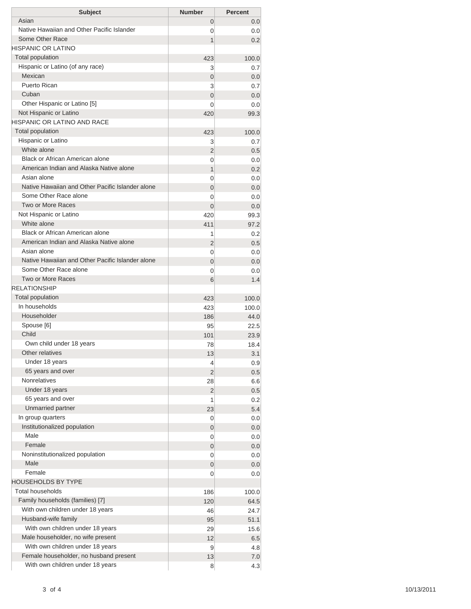| <b>Subject</b>                                   | <b>Number</b>              | <b>Percent</b> |
|--------------------------------------------------|----------------------------|----------------|
| Asian                                            | 0                          | 0.0            |
| Native Hawaiian and Other Pacific Islander       | 0                          | 0.0            |
| Some Other Race                                  | 1                          | 0.2            |
| <b>HISPANIC OR LATINO</b>                        |                            |                |
| <b>Total population</b>                          | 423                        | 100.0          |
| Hispanic or Latino (of any race)                 | 3                          | 0.7            |
| Mexican                                          | $\overline{0}$             | 0.0            |
| Puerto Rican                                     | 3                          | 0.7            |
| Cuban                                            | $\overline{0}$             | 0.0            |
| Other Hispanic or Latino [5]                     | $\Omega$                   | 0.0            |
| Not Hispanic or Latino                           | 420                        | 99.3           |
| <b>HISPANIC OR LATINO AND RACE</b>               |                            |                |
| <b>Total population</b>                          | 423                        | 100.0          |
| Hispanic or Latino                               | 3                          | 0.7            |
| White alone                                      | $\overline{2}$             | 0.5            |
| Black or African American alone                  | 0                          | 0.0            |
| American Indian and Alaska Native alone          | 1                          | 0.2            |
| Asian alone                                      | 0                          | 0.0            |
| Native Hawaiian and Other Pacific Islander alone | $\overline{0}$             | 0.0            |
| Some Other Race alone                            | 0                          | 0.0            |
| Two or More Races                                | $\Omega$                   | 0.0            |
| Not Hispanic or Latino<br>White alone            | 420                        | 99.3           |
| Black or African American alone                  | 411                        | 97.2           |
| American Indian and Alaska Native alone          | 1                          | 0.2            |
| Asian alone                                      | $\overline{2}$             | 0.5            |
| Native Hawaiian and Other Pacific Islander alone | 0                          | 0.0            |
| Some Other Race alone                            | $\overline{0}$<br>$\Omega$ | 0.0<br>0.0     |
| <b>Two or More Races</b>                         | 6                          | 1.4            |
| <b>RELATIONSHIP</b>                              |                            |                |
| Total population                                 | 423                        | 100.0          |
| In households                                    | 423                        | 100.0          |
| Householder                                      | 186                        | 44.0           |
| Spouse [6]                                       | 95                         | 22.5           |
| Child                                            | 101                        | 23.9           |
| Own child under 18 years                         | 78                         | 18.4           |
| Other relatives                                  | 13                         | 3.1            |
| Under 18 years                                   | 4                          | 0.9            |
| 65 years and over                                | 2                          | 0.5            |
| <b>Nonrelatives</b>                              | 28                         | 6.6            |
| Under 18 years                                   | 2                          | 0.5            |
| 65 years and over                                | 1                          | 0.2            |
| Unmarried partner                                | 23                         | 5.4            |
| In group quarters                                | 0                          | 0.0            |
| Institutionalized population                     | 0                          | 0.0            |
| Male                                             | 0                          | 0.0            |
| Female                                           | 0                          | 0.0            |
| Noninstitutionalized population                  | 0                          | 0.0            |
| Male                                             | 0                          | 0.0            |
| Female                                           | 0                          | 0.0            |
| <b>HOUSEHOLDS BY TYPE</b>                        |                            |                |
| <b>Total households</b>                          | 186                        | 100.0          |
| Family households (families) [7]                 | 120                        | 64.5           |
| With own children under 18 years                 | 46                         | 24.7           |
| Husband-wife family                              | 95                         | 51.1           |
| With own children under 18 years                 | 29                         | 15.6           |
| Male householder, no wife present                | 12                         | 6.5            |
| With own children under 18 years                 | 9                          | 4.8            |
| Female householder, no husband present           | 13                         | 7.0            |
| With own children under 18 years                 | 8                          | 4.3            |